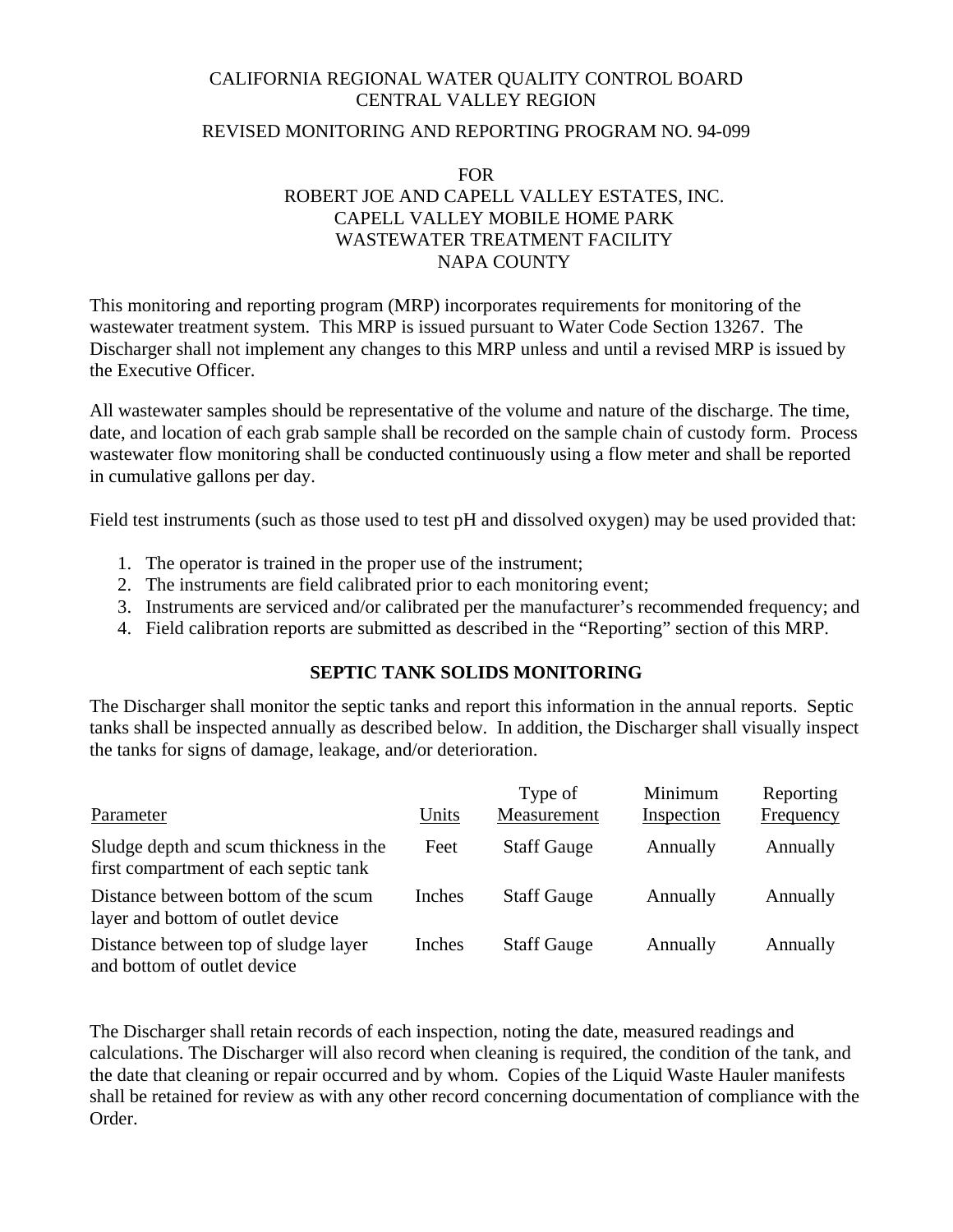# CALIFORNIA REGIONAL WATER QUALITY CONTROL BOARD CENTRAL VALLEY REGION

## REVISED MONITORING AND REPORTING PROGRAM NO. 94-099

## FOR ROBERT JOE AND CAPELL VALLEY ESTATES, INC. CAPELL VALLEY MOBILE HOME PARK WASTEWATER TREATMENT FACILITY NAPA COUNTY

This monitoring and reporting program (MRP) incorporates requirements for monitoring of the wastewater treatment system. This MRP is issued pursuant to Water Code Section 13267. The Discharger shall not implement any changes to this MRP unless and until a revised MRP is issued by the Executive Officer.

All wastewater samples should be representative of the volume and nature of the discharge. The time, date, and location of each grab sample shall be recorded on the sample chain of custody form. Process wastewater flow monitoring shall be conducted continuously using a flow meter and shall be reported in cumulative gallons per day.

Field test instruments (such as those used to test pH and dissolved oxygen) may be used provided that:

- 1. The operator is trained in the proper use of the instrument;
- 2. The instruments are field calibrated prior to each monitoring event;
- 3. Instruments are serviced and/or calibrated per the manufacturer's recommended frequency; and
- 4. Field calibration reports are submitted as described in the "Reporting" section of this MRP.

## **SEPTIC TANK SOLIDS MONITORING**

The Discharger shall monitor the septic tanks and report this information in the annual reports. Septic tanks shall be inspected annually as described below. In addition, the Discharger shall visually inspect the tanks for signs of damage, leakage, and/or deterioration.

| Parameter                                                                       | Units  | Type of<br>Measurement | Minimum<br>Inspection | Reporting<br>Frequency |
|---------------------------------------------------------------------------------|--------|------------------------|-----------------------|------------------------|
| Sludge depth and scum thickness in the<br>first compartment of each septic tank | Feet   | <b>Staff Gauge</b>     | Annually              | Annually               |
| Distance between bottom of the scum<br>layer and bottom of outlet device        | Inches | <b>Staff Gauge</b>     | Annually              | Annually               |
| Distance between top of sludge layer<br>and bottom of outlet device             | Inches | <b>Staff Gauge</b>     | Annually              | Annually               |

The Discharger shall retain records of each inspection, noting the date, measured readings and calculations. The Discharger will also record when cleaning is required, the condition of the tank, and the date that cleaning or repair occurred and by whom. Copies of the Liquid Waste Hauler manifests shall be retained for review as with any other record concerning documentation of compliance with the Order.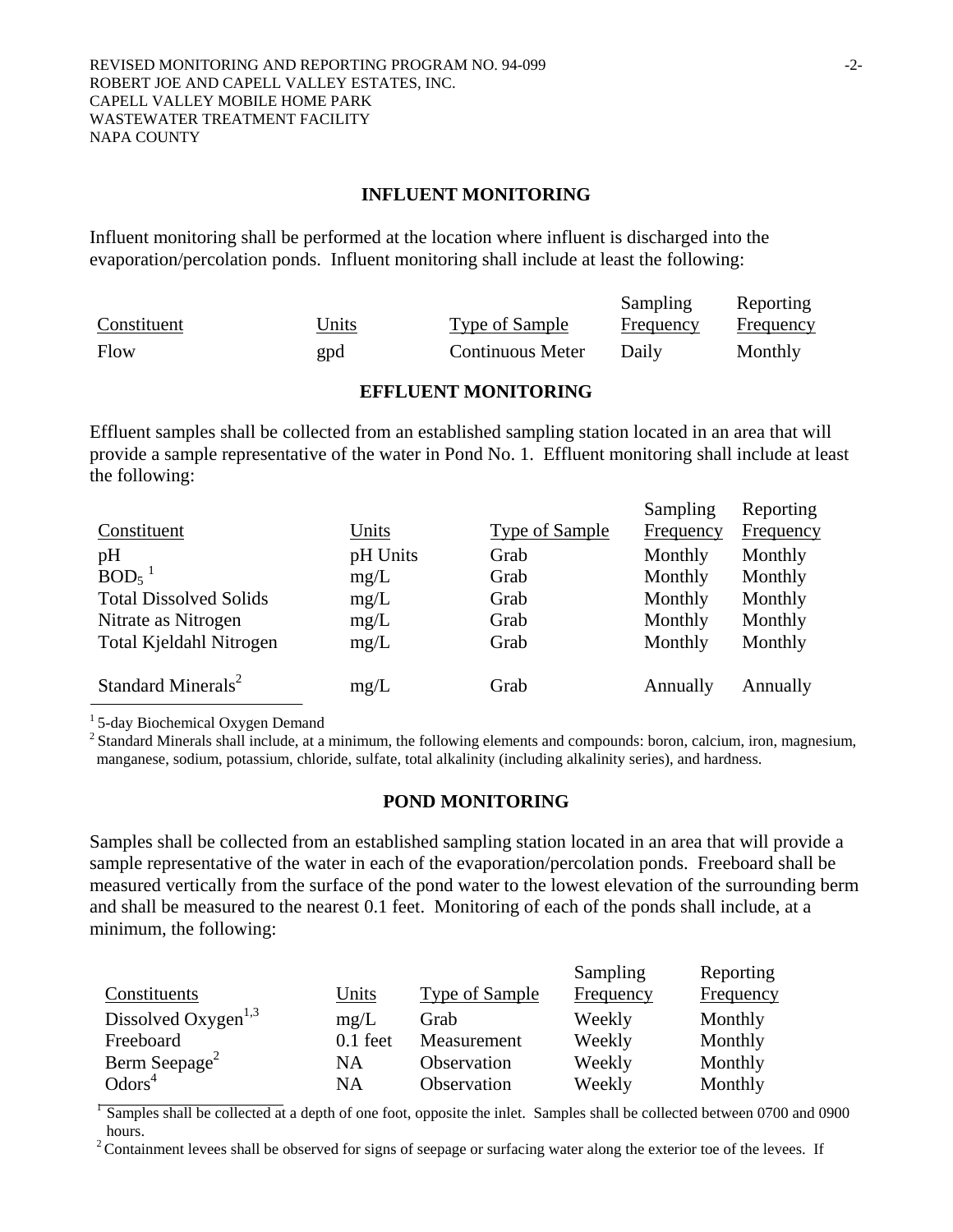#### **INFLUENT MONITORING**

Influent monitoring shall be performed at the location where influent is discharged into the evaporation/percolation ponds. Influent monitoring shall include at least the following:

|             |       |                         | Sampling  | Reporting |
|-------------|-------|-------------------------|-----------|-----------|
| Constituent | Units | Type of Sample          | Frequency | Frequency |
| Flow        | gpd   | <b>Continuous Meter</b> | Daily     | Monthly   |

#### **EFFLUENT MONITORING**

Effluent samples shall be collected from an established sampling station located in an area that will provide a sample representative of the water in Pond No. 1. Effluent monitoring shall include at least the following:

Sampling

**D**eparting

|                                |          |                       | $\omega$ <i>ampmig</i> | <i><b>Reporting</b></i> |
|--------------------------------|----------|-----------------------|------------------------|-------------------------|
| Constituent                    | Units    | <b>Type of Sample</b> | Frequency              | Frequency               |
| pH                             | pH Units | Grab                  | Monthly                | Monthly                 |
| $BOD5$ <sup>1</sup>            | mg/L     | Grab                  | Monthly                | Monthly                 |
| <b>Total Dissolved Solids</b>  | mg/L     | Grab                  | Monthly                | Monthly                 |
| Nitrate as Nitrogen            | mg/L     | Grab                  | Monthly                | Monthly                 |
| Total Kjeldahl Nitrogen        | mg/L     | Grab                  | Monthly                | Monthly                 |
|                                |          |                       |                        |                         |
| Standard Minerals <sup>2</sup> | mg/L     | Grab                  | Annually               | Annually                |
|                                |          |                       |                        |                         |

<sup>1</sup> 5-day Biochemical Oxygen Demand

<sup>2</sup> Standard Minerals shall include, at a minimum, the following elements and compounds: boron, calcium, iron, magnesium, manganese, sodium, potassium, chloride, sulfate, total alkalinity (including alkalinity series), and hardness.

#### **POND MONITORING**

Samples shall be collected from an established sampling station located in an area that will provide a sample representative of the water in each of the evaporation/percolation ponds. Freeboard shall be measured vertically from the surface of the pond water to the lowest elevation of the surrounding berm and shall be measured to the nearest 0.1 feet. Monitoring of each of the ponds shall include, at a minimum, the following:

|                                 |            |                | Sampling  | Reporting |
|---------------------------------|------------|----------------|-----------|-----------|
| Constituents                    | Units      | Type of Sample | Frequency | Frequency |
| Dissolved Oxygen <sup>1,3</sup> | mg/L       | Grab           | Weekly    | Monthly   |
| Freeboard                       | $0.1$ feet | Measurement    | Weekly    | Monthly   |
| Berm Seepage <sup>2</sup>       | NA         | Observation    | Weekly    | Monthly   |
| Odors <sup>4</sup>              | <b>NA</b>  | Observation    | Weekly    | Monthly   |

 $\sqrt{2}$  Samples shall be collected at a depth of one foot, opposite the inlet. Samples shall be collected between 0700 and 0900 hours.

<sup>2</sup> Containment levees shall be observed for signs of seepage or surfacing water along the exterior toe of the levees. If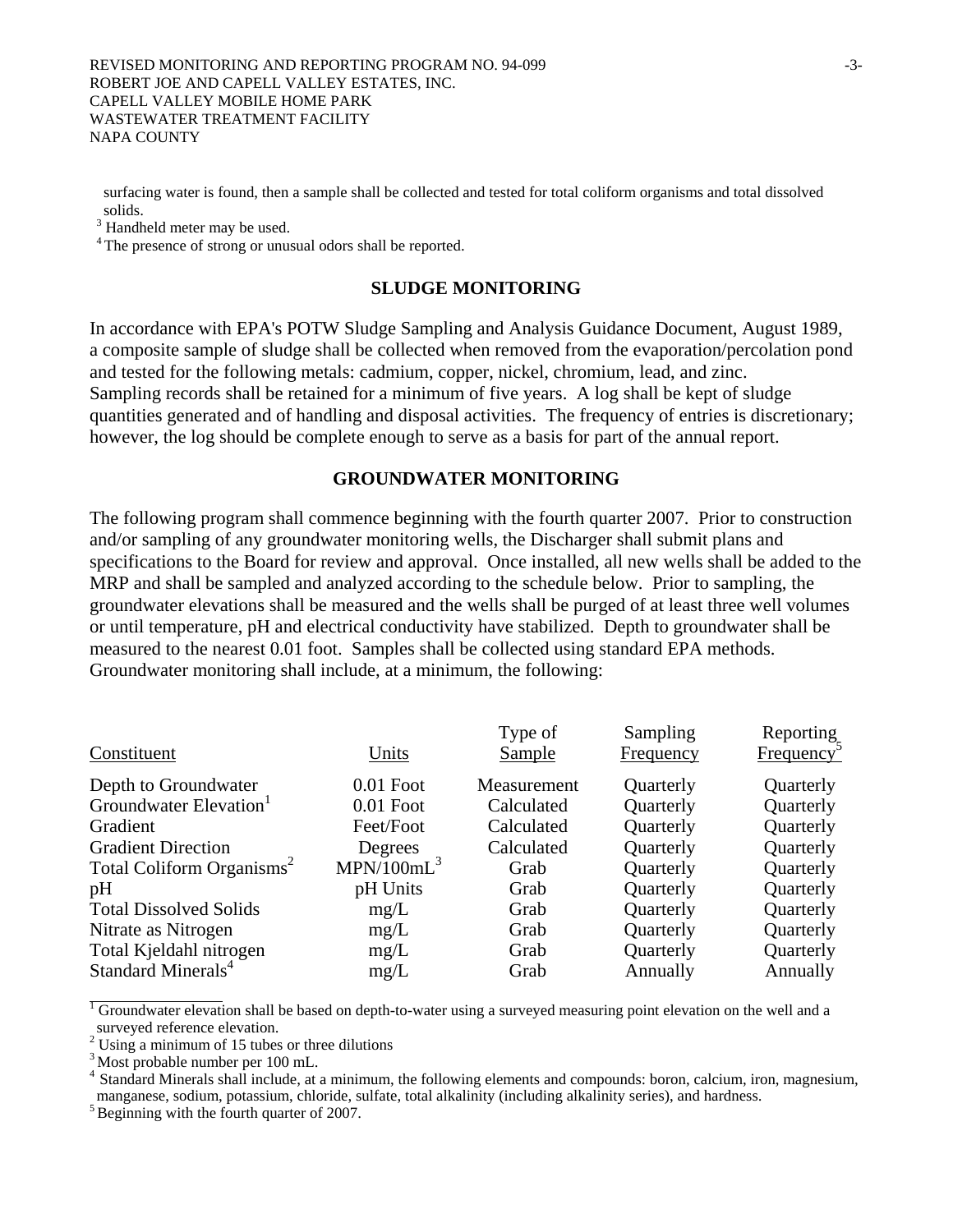surfacing water is found, then a sample shall be collected and tested for total coliform organisms and total dissolved solids.

<sup>3</sup> Handheld meter may be used.

<sup>4</sup> The presence of strong or unusual odors shall be reported.

#### **SLUDGE MONITORING**

In accordance with EPA's POTW Sludge Sampling and Analysis Guidance Document, August 1989, a composite sample of sludge shall be collected when removed from the evaporation/percolation pond and tested for the following metals: cadmium, copper, nickel, chromium, lead, and zinc. Sampling records shall be retained for a minimum of five years. A log shall be kept of sludge quantities generated and of handling and disposal activities. The frequency of entries is discretionary; however, the log should be complete enough to serve as a basis for part of the annual report.

### **GROUNDWATER MONITORING**

The following program shall commence beginning with the fourth quarter 2007. Prior to construction and/or sampling of any groundwater monitoring wells, the Discharger shall submit plans and specifications to the Board for review and approval. Once installed, all new wells shall be added to the MRP and shall be sampled and analyzed according to the schedule below. Prior to sampling, the groundwater elevations shall be measured and the wells shall be purged of at least three well volumes or until temperature, pH and electrical conductivity have stabilized. Depth to groundwater shall be measured to the nearest 0.01 foot. Samples shall be collected using standard EPA methods. Groundwater monitoring shall include, at a minimum, the following:

|                                       |                        | Type of       | Sampling  | Reporting              |
|---------------------------------------|------------------------|---------------|-----------|------------------------|
| Constituent                           | Units                  | <b>Sample</b> | Frequency | Frequency <sup>3</sup> |
| Depth to Groundwater                  | $0.01$ Foot            | Measurement   | Quarterly | Quarterly              |
| Groundwater Elevation <sup>1</sup>    | $0.01$ Foot            | Calculated    | Quarterly | Quarterly              |
| Gradient                              | Feet/Foot              | Calculated    | Quarterly | Quarterly              |
| <b>Gradient Direction</b>             | Degrees                | Calculated    | Quarterly | Quarterly              |
| Total Coliform Organisms <sup>2</sup> | MPN/100mL <sup>3</sup> | Grab          | Quarterly | Quarterly              |
| pH                                    | pH Units               | Grab          | Quarterly | Quarterly              |
| <b>Total Dissolved Solids</b>         | mg/L                   | Grab          | Quarterly | Quarterly              |
| Nitrate as Nitrogen                   | mg/L                   | Grab          | Quarterly | Quarterly              |
| Total Kjeldahl nitrogen               | mg/L                   | Grab          | Quarterly | Quarterly              |
| Standard Minerals <sup>4</sup>        | mg/L                   | Grab          | Annually  | Annually               |

<sup>1</sup> Groundwater elevation shall be based on depth-to-water using a surveyed measuring point elevation on the well and a surveyed reference elevation.

 $2^2$  Using a minimum of 15 tubes or three dilutions

<sup>3</sup> Most probable number per 100 mL.

Standard Minerals shall include, at a minimum, the following elements and compounds: boron, calcium, iron, magnesium, manganese, sodium, potassium, chloride, sulfate, total alkalinity (including alkalinity series), and hardness. 5 Beginning with the fourth quarter of 2007.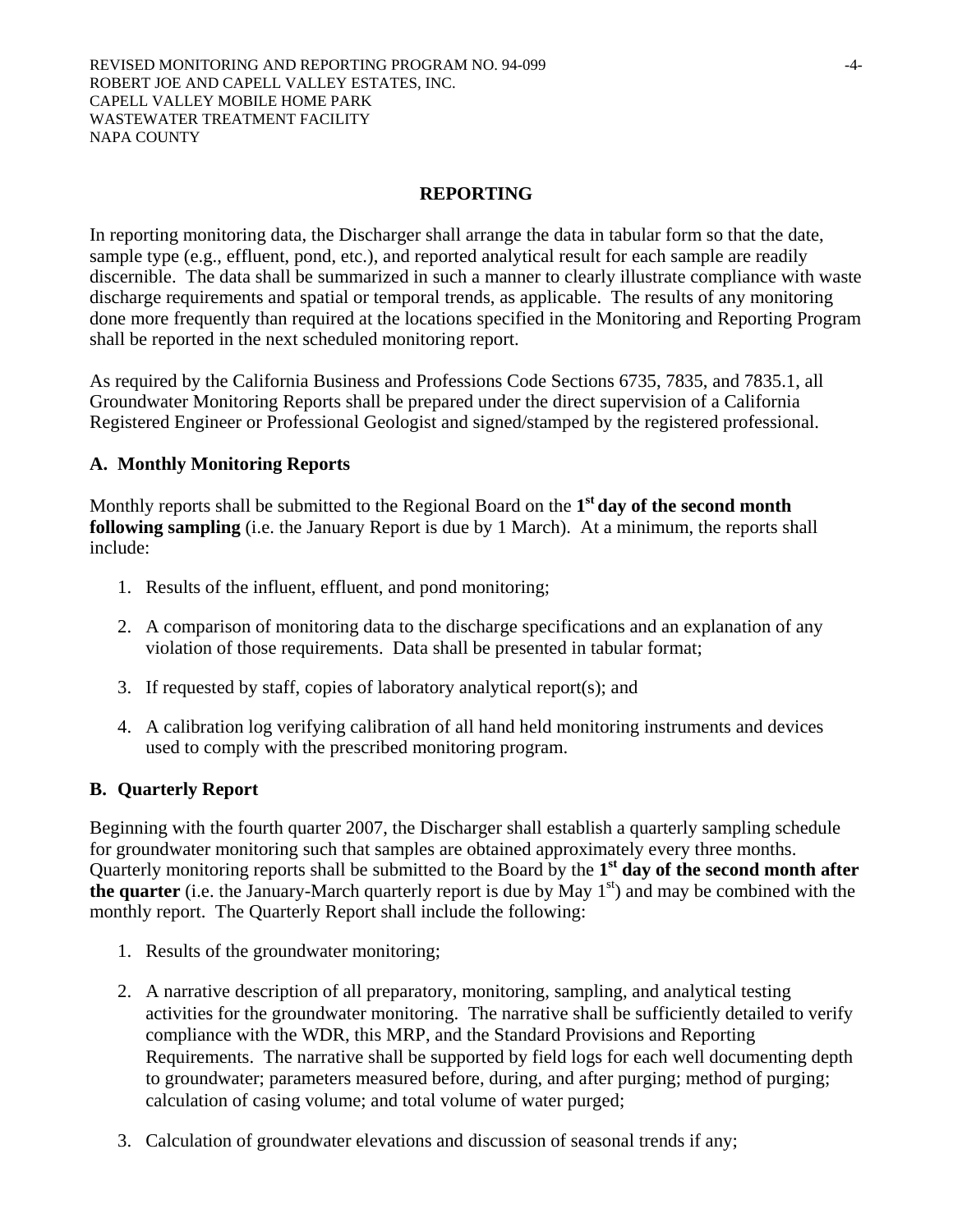## **REPORTING**

In reporting monitoring data, the Discharger shall arrange the data in tabular form so that the date, sample type (e.g., effluent, pond, etc.), and reported analytical result for each sample are readily discernible. The data shall be summarized in such a manner to clearly illustrate compliance with waste discharge requirements and spatial or temporal trends, as applicable. The results of any monitoring done more frequently than required at the locations specified in the Monitoring and Reporting Program shall be reported in the next scheduled monitoring report.

As required by the California Business and Professions Code Sections 6735, 7835, and 7835.1, all Groundwater Monitoring Reports shall be prepared under the direct supervision of a California Registered Engineer or Professional Geologist and signed/stamped by the registered professional.

### **A. Monthly Monitoring Reports**

Monthly reports shall be submitted to the Regional Board on the **1st day of the second month following sampling** (i.e. the January Report is due by 1 March). At a minimum, the reports shall include:

- 1. Results of the influent, effluent, and pond monitoring;
- 2. A comparison of monitoring data to the discharge specifications and an explanation of any violation of those requirements. Data shall be presented in tabular format;
- 3. If requested by staff, copies of laboratory analytical report(s); and
- 4. A calibration log verifying calibration of all hand held monitoring instruments and devices used to comply with the prescribed monitoring program.

#### **B. Quarterly Report**

Beginning with the fourth quarter 2007, the Discharger shall establish a quarterly sampling schedule for groundwater monitoring such that samples are obtained approximately every three months. Quarterly monitoring reports shall be submitted to the Board by the **1st day of the second month after the quarter** (i.e. the January-March quarterly report is due by May  $1<sup>st</sup>$ ) and may be combined with the monthly report. The Quarterly Report shall include the following:

- 1. Results of the groundwater monitoring;
- 2. A narrative description of all preparatory, monitoring, sampling, and analytical testing activities for the groundwater monitoring. The narrative shall be sufficiently detailed to verify compliance with the WDR, this MRP, and the Standard Provisions and Reporting Requirements. The narrative shall be supported by field logs for each well documenting depth to groundwater; parameters measured before, during, and after purging; method of purging; calculation of casing volume; and total volume of water purged;
- 3. Calculation of groundwater elevations and discussion of seasonal trends if any;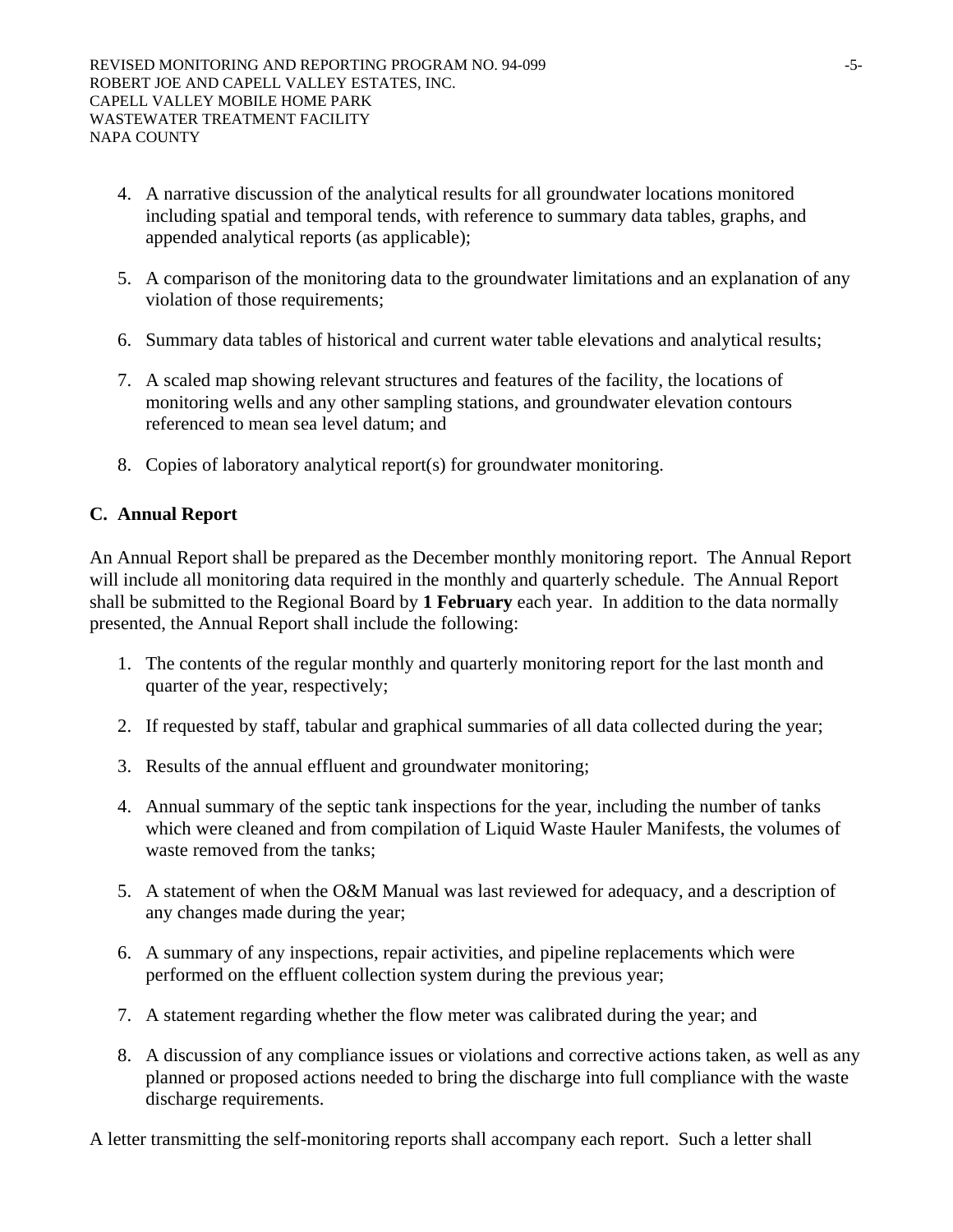- 4. A narrative discussion of the analytical results for all groundwater locations monitored including spatial and temporal tends, with reference to summary data tables, graphs, and appended analytical reports (as applicable);
- 5. A comparison of the monitoring data to the groundwater limitations and an explanation of any violation of those requirements;
- 6. Summary data tables of historical and current water table elevations and analytical results;
- 7. A scaled map showing relevant structures and features of the facility, the locations of monitoring wells and any other sampling stations, and groundwater elevation contours referenced to mean sea level datum; and
- 8. Copies of laboratory analytical report(s) for groundwater monitoring.

## **C. Annual Report**

An Annual Report shall be prepared as the December monthly monitoring report. The Annual Report will include all monitoring data required in the monthly and quarterly schedule. The Annual Report shall be submitted to the Regional Board by **1 February** each year. In addition to the data normally presented, the Annual Report shall include the following:

- 1. The contents of the regular monthly and quarterly monitoring report for the last month and quarter of the year, respectively;
- 2. If requested by staff, tabular and graphical summaries of all data collected during the year;
- 3. Results of the annual effluent and groundwater monitoring;
- 4. Annual summary of the septic tank inspections for the year, including the number of tanks which were cleaned and from compilation of Liquid Waste Hauler Manifests, the volumes of waste removed from the tanks;
- 5. A statement of when the O&M Manual was last reviewed for adequacy, and a description of any changes made during the year;
- 6. A summary of any inspections, repair activities, and pipeline replacements which were performed on the effluent collection system during the previous year;
- 7. A statement regarding whether the flow meter was calibrated during the year; and
- 8. A discussion of any compliance issues or violations and corrective actions taken, as well as any planned or proposed actions needed to bring the discharge into full compliance with the waste discharge requirements.

A letter transmitting the self-monitoring reports shall accompany each report. Such a letter shall